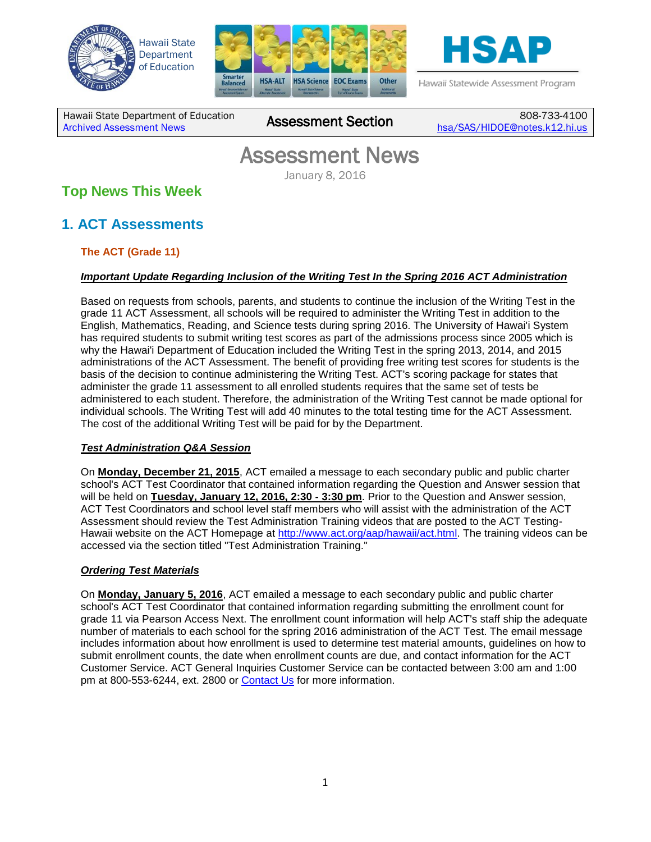





Hawaii Statewide Assessment Program

Hawaii State Department of Education **Assessment News** Assessment Section

808-733-4100 [hsa/SAS/HIDOE@notes.k12.hi.us](mailto:hsa/SAS/HIDOE@notes.k12.hi.us)

# Assessment News January 8, 2016

# **Top News This Week**

# **1. ACT Assessments**

## **The ACT (Grade 11)**

## *Important Update Regarding Inclusion of the Writing Test In the Spring 2016 ACT Administration*

Based on requests from schools, parents, and students to continue the inclusion of the Writing Test in the grade 11 ACT Assessment, all schools will be required to administer the Writing Test in addition to the English, Mathematics, Reading, and Science tests during spring 2016. The University of Hawai'i System has required students to submit writing test scores as part of the admissions process since 2005 which is why the Hawai'i Department of Education included the Writing Test in the spring 2013, 2014, and 2015 administrations of the ACT Assessment. The benefit of providing free writing test scores for students is the basis of the decision to continue administering the Writing Test. ACT's scoring package for states that administer the grade 11 assessment to all enrolled students requires that the same set of tests be administered to each student. Therefore, the administration of the Writing Test cannot be made optional for individual schools. The Writing Test will add 40 minutes to the total testing time for the ACT Assessment. The cost of the additional Writing Test will be paid for by the Department.

### *Test Administration Q&A Session*

On **Monday, December 21, 2015**, ACT emailed a message to each secondary public and public charter school's ACT Test Coordinator that contained information regarding the Question and Answer session that will be held on **Tuesday, January 12, 2016, 2:30 - 3:30 pm**. Prior to the Question and Answer session, ACT Test Coordinators and school level staff members who will assist with the administration of the ACT Assessment should review the Test Administration Training videos that are posted to the ACT Testing-Hawaii website on the ACT Homepage at [http://www.act.org/aap/hawaii/act.html.](http://www.act.org/aap/hawaii/act.html) The training videos can be accessed via the section titled "Test Administration Training."

## *Ordering Test Materials*

On **Monday, January 5, 2016**, ACT emailed a message to each secondary public and public charter school's ACT Test Coordinator that contained information regarding submitting the enrollment count for grade 11 via Pearson Access Next. The enrollment count information will help ACT's staff ship the adequate number of materials to each school for the spring 2016 administration of the ACT Test. The email message includes information about how enrollment is used to determine test material amounts, guidelines on how to submit enrollment counts, the date when enrollment counts are due, and contact information for the ACT Customer Service. ACT General Inquiries Customer Service can be contacted between 3:00 am and 1:00 pm at 800-553-6244, ext. 2800 or [Contact Us](http://www.act.org/aap/state/contact.html) for more information.